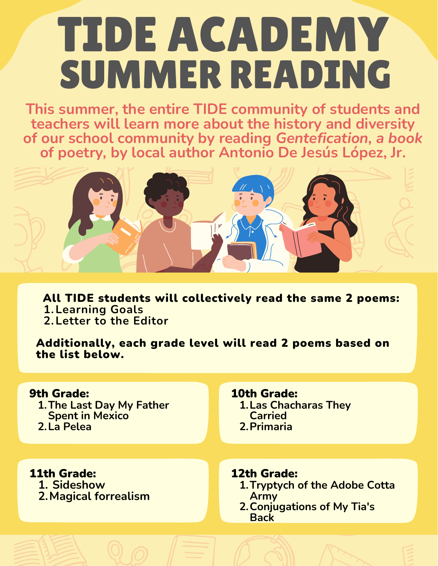# TIDE ACADEMY SUMMER READING

**This summer, the entire TIDE community of students and teachers will learn more about the history and diversity of our school community by reading** *Gentefication, a book* **of poetry***,* **by local author Antonio De Jesús López, Jr.**



**Learning Goals 1. Letter to the Editor 2.** All TIDE students will collectively read the same 2 poems:

Additionally, each grade level will read 2 poems based on the list below.

#### 9th Grade:

**The Last Day My Father 1. Spent in Mexico La Pelea 2.**

## 10th Grade:

**Las Chacharas They 1. Carried Primaria 2.**

**Sideshow 1. Magical forrealism 2.** 11th Grade:

### 12th Grade:

- **Tryptych of the Adobe Cotta 1. Army**
- **Conjugations of My Tia's 2.Back**